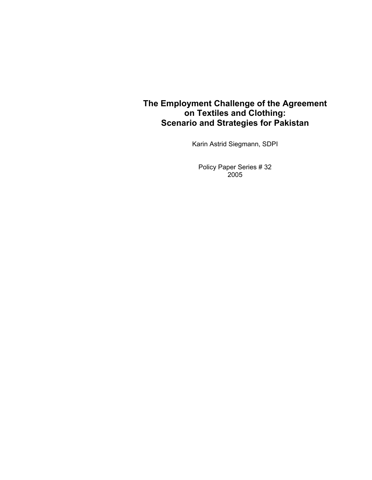## **The Employment Challenge of the Agreement on Textiles and Clothing: Scenario and Strategies for Pakistan**

Karin Astrid Siegmann, SDPI

Policy Paper Series # 32 2005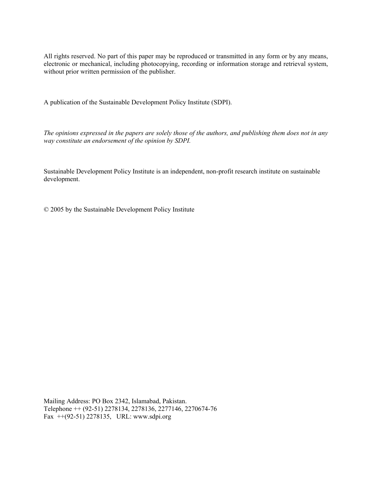All rights reserved. No part of this paper may be reproduced or transmitted in any form or by any means, electronic or mechanical, including photocopying, recording or information storage and retrieval system, without prior written permission of the publisher.

A publication of the Sustainable Development Policy Institute (SDPI).

*The opinions expressed in the papers are solely those of the authors, and publishing them does not in any way constitute an endorsement of the opinion by SDPI.* 

Sustainable Development Policy Institute is an independent, non-profit research institute on sustainable development.

© 2005 by the Sustainable Development Policy Institute

Mailing Address: PO Box 2342, Islamabad, Pakistan. Telephone ++ (92-51) 2278134, 2278136, 2277146, 2270674-76 Fax ++(92-51) 2278135, URL: www.sdpi.org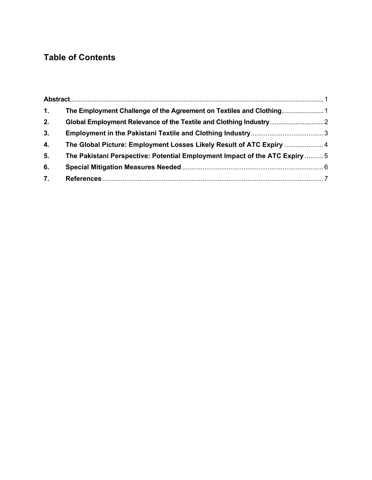## **Table of Contents**

| 1. | The Employment Challenge of the Agreement on Textiles and Clothing          |  |
|----|-----------------------------------------------------------------------------|--|
| 2. |                                                                             |  |
| 3. |                                                                             |  |
| 4. | The Global Picture: Employment Losses Likely Result of ATC Expiry  4        |  |
| 5. | The Pakistani Perspective: Potential Employment Impact of the ATC Expiry  5 |  |
| 6. |                                                                             |  |
| 7. |                                                                             |  |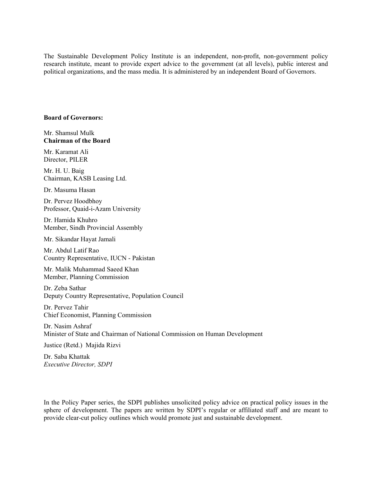The Sustainable Development Policy Institute is an independent, non-profit, non-government policy research institute, meant to provide expert advice to the government (at all levels), public interest and political organizations, and the mass media. It is administered by an independent Board of Governors.

#### **Board of Governors:**

Mr. Shamsul Mulk **Chairman of the Board** 

Mr. Karamat Ali Director, PILER

Mr. H. U. Baig Chairman, KASB Leasing Ltd.

Dr. Masuma Hasan

Dr. Pervez Hoodbhoy Professor, Quaid-i-Azam University

Dr. Hamida Khuhro Member, Sindh Provincial Assembly

Mr. Sikandar Hayat Jamali

Mr. Abdul Latif Rao Country Representative, IUCN - Pakistan

Mr. Malik Muhammad Saeed Khan Member, Planning Commission

Dr. Zeba Sathar Deputy Country Representative, Population Council

Dr. Pervez Tahir Chief Economist, Planning Commission

Dr. Nasim Ashraf Minister of State and Chairman of National Commission on Human Development

Justice (Retd.) Majida Rizvi

Dr. Saba Khattak *Executive Director, SDPI* 

In the Policy Paper series, the SDPI publishes unsolicited policy advice on practical policy issues in the sphere of development. The papers are written by SDPI's regular or affiliated staff and are meant to provide clear-cut policy outlines which would promote just and sustainable development.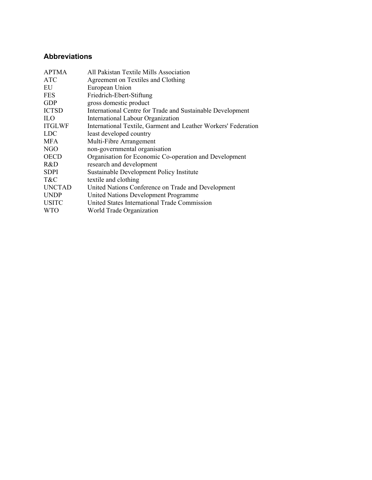### **Abbreviations**

| All Pakistan Textile Mills Association                         |
|----------------------------------------------------------------|
| Agreement on Textiles and Clothing                             |
| European Union                                                 |
| Friedrich-Ebert-Stiftung                                       |
| gross domestic product                                         |
| International Centre for Trade and Sustainable Development     |
| International Labour Organization                              |
| International Textile, Garment and Leather Workers' Federation |
| least developed country                                        |
| Multi-Fibre Arrangement                                        |
| non-governmental organisation                                  |
| Organisation for Economic Co-operation and Development         |
| research and development                                       |
| Sustainable Development Policy Institute                       |
| textile and clothing                                           |
| United Nations Conference on Trade and Development             |
| United Nations Development Programme                           |
| United States International Trade Commission                   |
| World Trade Organization                                       |
|                                                                |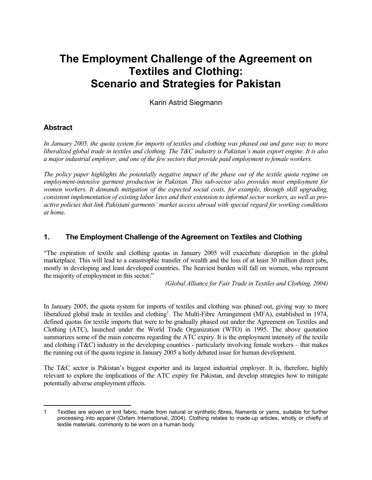# **The Employment Challenge of the Agreement on Textiles and Clothing: Scenario and Strategies for Pakistan**

Karin Astrid Siegmann

#### **Abstract**

*In January 2005, the quota system for imports of textiles and clothing was phased out and gave way to more liberalized global trade in textiles and clothing. The T&C industry is Pakistan's main export engine. It is also a major industrial employer, and one of the few sectors that provide paid employment to female workers.* 

*The policy paper highlights the potentially negative impact of the phase out of the textile quota regime on employment-intensive garment production in Pakistan. This sub-sector also provides most employment for women workers. It demands mitigation of the expected social costs, for example, through skill upgrading, consistent implementation of existing labor laws and their extension to informal sector workers, as well as proactive policies that link Pakistani garments' market access abroad with special regard for working conditions at home.*

#### **1. The Employment Challenge of the Agreement on Textiles and Clothing**

"The expiration of textile and clothing quotas in January 2005 will exacerbate disruption in the global marketplace. This will lead to a catastrophic transfer of wealth and the loss of at least 30 million direct jobs, mostly in developing and least developed countries. The heaviest burden will fall on women, who represent the majority of employment in this sector."

*(Global Alliance for Fair Trade in Textiles and Clothing, 2004)* 

In January 2005, the quota system for imports of textiles and clothing was phased out, giving way to more liberalized global trade in textiles and clothing<sup>1</sup>. The Multi-Fibre Arrangement (MFA), established in 1974, defined quotas for textile imports that were to be gradually phased out under the Agreement on Textiles and Clothing (ATC), launched under the World Trade Organization (WTO) in 1995. The above quotation summarizes some of the main concerns regarding the ATC expiry. It is the employment intensity of the textile and clothing  $(T\&C)$  industry in the developing countries - particularly involving female workers – that makes the running out of the quota regime in January 2005 a hotly debated issue for human development.

The T&C sector is Pakistan's biggest exporter and its largest industrial employer. It is, therefore, highly relevant to explore the implications of the ATC expiry for Pakistan, and develop strategies how to mitigate potentially adverse employment effects.

 $\overline{a}$ 1 Textiles are woven or knit fabric, made from natural or synthetic fibres, filaments or yarns, suitable for further processing into apparel (Oxfam International, 2004). Clothing relates to made-up articles, wholly or chiefly of textile materials, commonly to be worn on a human body.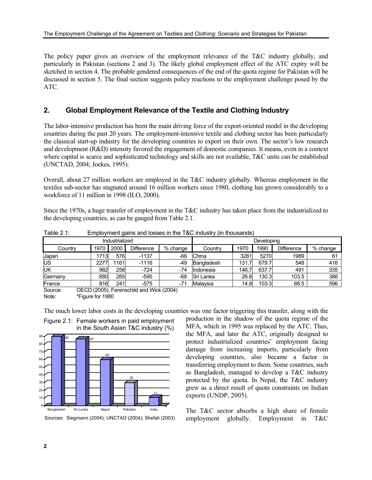The policy paper gives an overview of the employment relevance of the T&C industry globally, and particularly in Pakistan (sections 2 and 3). The likely global employment effect of the ATC expiry will be sketched in section 4. The probable gendered consequences of the end of the quota regime for Pakistan will be discussed in section 5. The final section suggests policy reactions to the employment challenge posed by the ATC.

#### **2. Global Employment Relevance of the Textile and Clothing Industry**

The labor-intensive production has been the main driving force of the export-oriented model in the developing countries during the past 20 years. The employment-intensive textile and clothing sector has been particularly the classical start-up industry for the developing countries to export on their own. The sector's low research and development (R&D) intensity favored the engagement of domestic companies. It means, even in a context where capital is scarce and sophisticated technology and skills are not available, T&C units can be established (UNCTAD, 2004; Joekes, 1995).

Overall, about 27 million workers are employed in the T&C industry globally. Whereas employment in the textiles sub-sector has stagnated around 16 million workers since 1980, clothing has grown considerably to a workforce of 11 million in 1998 (ILO, 2000).

Since the 1970s, a huge transfer of employment in the T&C industry has taken place from the industrialized to the developing countries, as can be gauged from Table 2.1.

|                |      | ີ    |                                          |          |                  |       |       |                   |          |
|----------------|------|------|------------------------------------------|----------|------------------|-------|-------|-------------------|----------|
| Industrialized |      |      |                                          |          | Developing       |       |       |                   |          |
| Countrv        | 1970 | 2000 | Difference                               | % change | Country          | 1970  | 1990  | <b>Difference</b> | % change |
| <b>Japan</b>   | 1713 | 576  | $-1137$                                  | -66      | China            | 3281  | 5270  | 1989              | 61       |
| ΙUS            | 227  | 1161 | $-1116$                                  | -49      | Bangladesh       | 131.7 | 679.7 | 548               | 416      |
| ΙUΚ            | 982  | 258  | $-724$                                   | -74      | Indonesia        | 146.7 | 637.7 | 491               | 335      |
| Germany        | 880  | 285  | $-595$                                   | -68      | <b>Sri Lanka</b> | 26.8  | 130.3 | 103.5             | 386      |
| France         | 816  | 241  | $-575$                                   | $-71$    | Malaysia         | 14.8  | 103.3 | 88.5              | 596      |
| Source:        |      |      | OECD (2005): Ferenschild and Wick (2004) |          |                  |       |       |                   |          |

Table 2.1: Employment gains and losses in the T&C industry (in thousands)

Source: OECD (2005); Ferenschild and Wick (2004) Note: \*Figure for 1980



30

11

The much lower labor costs in the developing countries was one factor triggering this transfer, along with the

production in the shadow of the quota regime of the MFA, which in 1995 was replaced by the ATC. Thus, the MFA, and later the ATC, originally designed to protect industrialized countries' employment facing damage from increasing imports, particularly from developing countries, also became a factor in transferring employment to them. Some countries, such as Bangladesh, managed to develop a T&C industry protected by the quota. In Nepal, the T&C industry grew as a direct result of quota constraints on Indian exports (UNDP, 2005).

Figure 2.1: Female workers in paid employment in the South Asian T&C industry (%)

Sources: Siegmann (2004); UNCTAD (2004); Shefali (2003)

Bangladesh Sri Lanka Nepal

The T&C sector absorbs a high share of female employment globally. Employment in T&C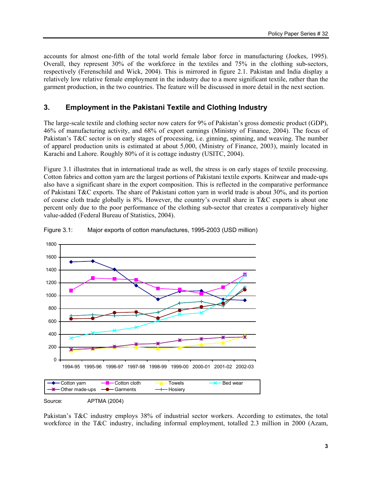accounts for almost one-fifth of the total world female labor force in manufacturing (Joekes, 1995). Overall, they represent 30% of the workforce in the textiles and 75% in the clothing sub-sectors, respectively (Ferenschild and Wick, 2004). This is mirrored in figure 2.1. Pakistan and India display a relatively low relative female employment in the industry due to a more significant textile, rather than the garment production, in the two countries. The feature will be discussed in more detail in the next section.

#### **3. Employment in the Pakistani Textile and Clothing Industry**

The large-scale textile and clothing sector now caters for 9% of Pakistan's gross domestic product (GDP), 46% of manufacturing activity, and 68% of export earnings (Ministry of Finance, 2004). The focus of Pakistan's T&C sector is on early stages of processing, i.e. ginning, spinning, and weaving. The number of apparel production units is estimated at about 5,000, (Ministry of Finance, 2003), mainly located in Karachi and Lahore. Roughly 80% of it is cottage industry (USITC, 2004).

Figure 3.1 illustrates that in international trade as well, the stress is on early stages of textile processing. Cotton fabrics and cotton yarn are the largest portions of Pakistani textile exports. Knitwear and made-ups also have a significant share in the export composition. This is reflected in the comparative performance of Pakistani T&C exports. The share of Pakistani cotton yarn in world trade is about 30%, and its portion of coarse cloth trade globally is 8%. However, the country's overall share in T&C exports is about one percent only due to the poor performance of the clothing sub-sector that creates a comparatively higher value-added (Federal Bureau of Statistics, 2004).



#### Figure 3.1: Major exports of cotton manufactures, 1995-2003 (USD million)

Pakistan's T&C industry employs 38% of industrial sector workers. According to estimates, the total workforce in the T&C industry, including informal employment, totalled 2.3 million in 2000 (Azam,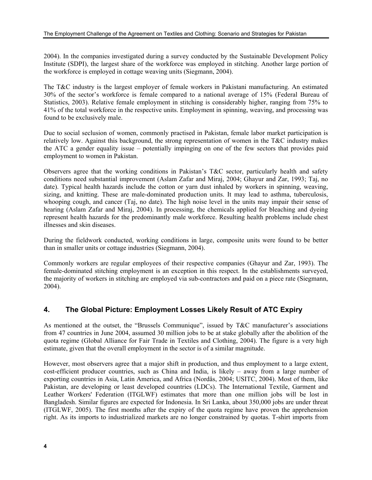2004). In the companies investigated during a survey conducted by the Sustainable Development Policy Institute (SDPI), the largest share of the workforce was employed in stitching. Another large portion of the workforce is employed in cottage weaving units (Siegmann, 2004).

The T&C industry is the largest employer of female workers in Pakistani manufacturing. An estimated 30% of the sector's workforce is female compared to a national average of 15% (Federal Bureau of Statistics, 2003). Relative female employment in stitching is considerably higher, ranging from 75% to 41% of the total workforce in the respective units. Employment in spinning, weaving, and processing was found to be exclusively male.

Due to social seclusion of women, commonly practised in Pakistan, female labor market participation is relatively low. Against this background, the strong representation of women in the T&C industry makes the ATC a gender equality issue – potentially impinging on one of the few sectors that provides paid employment to women in Pakistan.

Observers agree that the working conditions in Pakistan's T&C sector, particularly health and safety conditions need substantial improvement (Aslam Zafar and Miraj, 2004; Ghayur and Zar, 1993; Taj, no date). Typical health hazards include the cotton or yarn dust inhaled by workers in spinning, weaving, sizing, and knitting. These are male-dominated production units. It may lead to asthma, tuberculosis, whooping cough, and cancer (Taj, no date). The high noise level in the units may impair their sense of hearing (Aslam Zafar and Miraj, 2004). In processing, the chemicals applied for bleaching and dyeing represent health hazards for the predominantly male workforce. Resulting health problems include chest illnesses and skin diseases.

During the fieldwork conducted, working conditions in large, composite units were found to be better than in smaller units or cottage industries (Siegmann, 2004).

Commonly workers are regular employees of their respective companies (Ghayur and Zar, 1993). The female-dominated stitching employment is an exception in this respect. In the establishments surveyed, the majority of workers in stitching are employed via sub-contractors and paid on a piece rate (Siegmann, 2004).

#### **4. The Global Picture: Employment Losses Likely Result of ATC Expiry**

As mentioned at the outset, the "Brussels Communique", issued by T&C manufacturer's associations from 47 countries in June 2004, assumed 30 million jobs to be at stake globally after the abolition of the quota regime (Global Alliance for Fair Trade in Textiles and Clothing, 2004). The figure is a very high estimate, given that the overall employment in the sector is of a similar magnitude.

However, most observers agree that a major shift in production, and thus employment to a large extent, cost-efficient producer countries, such as China and India, is likely – away from a large number of exporting countries in Asia, Latin America, and Africa (Nordås, 2004; USITC, 2004). Most of them, like Pakistan, are developing or least developed countries (LDCs). The International Textile, Garment and Leather Workers' Federation (ITGLWF) estimates that more than one million jobs will be lost in Bangladesh. Similar figures are expected for Indonesia. In Sri Lanka, about 350,000 jobs are under threat (ITGLWF, 2005). The first months after the expiry of the quota regime have proven the apprehension right. As its imports to industrialized markets are no longer constrained by quotas. T-shirt imports from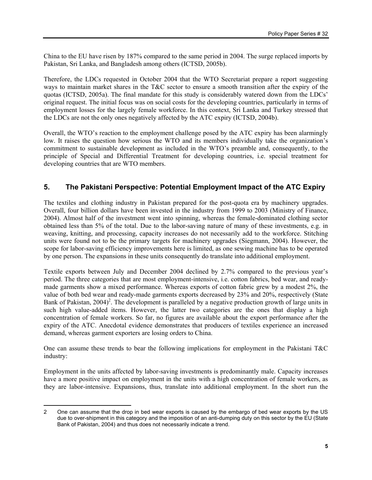China to the EU have risen by 187% compared to the same period in 2004. The surge replaced imports by Pakistan, Sri Lanka, and Bangladesh among others (ICTSD, 2005b).

Therefore, the LDCs requested in October 2004 that the WTO Secretariat prepare a report suggesting ways to maintain market shares in the T&C sector to ensure a smooth transition after the expiry of the quotas (ICTSD, 2005a). The final mandate for this study is considerably watered down from the LDCs' original request. The initial focus was on social costs for the developing countries, particularly in terms of employment losses for the largely female workforce. In this context, Sri Lanka and Turkey stressed that the LDCs are not the only ones negatively affected by the ATC expiry (ICTSD, 2004b).

Overall, the WTO's reaction to the employment challenge posed by the ATC expiry has been alarmingly low. It raises the question how serious the WTO and its members individually take the organization's commitment to sustainable development as included in the WTO's preamble and, consequently, to the principle of Special and Differential Treatment for developing countries, i.e. special treatment for developing countries that are WTO members.

#### **5. The Pakistani Perspective: Potential Employment Impact of the ATC Expiry**

The textiles and clothing industry in Pakistan prepared for the post-quota era by machinery upgrades. Overall, four billion dollars have been invested in the industry from 1999 to 2003 (Ministry of Finance, 2004). Almost half of the investment went into spinning, whereas the female-dominated clothing sector obtained less than 5% of the total. Due to the labor-saving nature of many of these investments, e.g. in weaving, knitting, and processing, capacity increases do not necessarily add to the workforce. Stitching units were found not to be the primary targets for machinery upgrades (Siegmann, 2004). However, the scope for labor-saving efficiency improvements here is limited, as one sewing machine has to be operated by one person. The expansions in these units consequently do translate into additional employment.

Textile exports between July and December 2004 declined by 2.7% compared to the previous year's period. The three categories that are most employment-intensive, i.e. cotton fabrics, bed wear, and readymade garments show a mixed performance. Whereas exports of cotton fabric grew by a modest 2%, the value of both bed wear and ready-made garments exports decreased by 23% and 20%, respectively (State Bank of Pakistan, 2004)<sup>2</sup>. The development is paralleled by a negative production growth of large units in such high value-added items. However, the latter two categories are the ones that display a high concentration of female workers. So far, no figures are available about the export performance after the expiry of the ATC. Anecdotal evidence demonstrates that producers of textiles experience an increased demand, whereas garment exporters are losing orders to China.

One can assume these trends to bear the following implications for employment in the Pakistani  $T\&C$ industry:

Employment in the units affected by labor-saving investments is predominantly male. Capacity increases have a more positive impact on employment in the units with a high concentration of female workers, as they are labor-intensive. Expansions, thus, translate into additional employment. In the short run the

 $\overline{a}$ 2 One can assume that the drop in bed wear exports is caused by the embargo of bed wear exports by the US due to over-shipment in this category and the imposition of an anti-dumping duty on this sector by the EU (State Bank of Pakistan, 2004) and thus does not necessarily indicate a trend.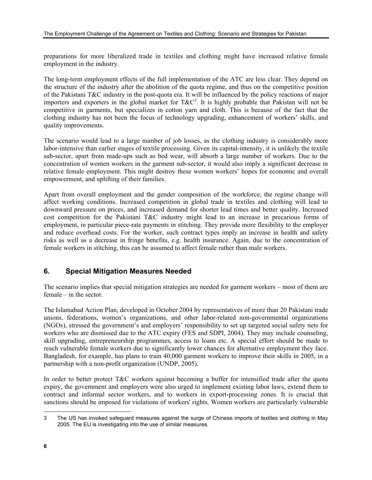preparations for more liberalized trade in textiles and clothing might have increased relative female employment in the industry.

The long-term employment effects of the full implementation of the ATC are less clear. They depend on the structure of the industry after the abolition of the quota regime, and thus on the competitive position of the Pakistani T&C industry in the post-quota era. It will be influenced by the policy reactions of major importers and exporters in the global market for  $T\&C^3$ . It is highly probable that Pakistan will not be competitive in garments, but specializes in cotton yarn and cloth. This is because of the fact that the clothing industry has not been the focus of technology upgrading, enhancement of workers' skills, and quality improvements.

The scenario would lead to a large number of job losses, as the clothing industry is considerably more labor-intensive than earlier stages of textile processing. Given its capital-intensity, it is unlikely the textile sub-sector, apart from made-ups such as bed wear, will absorb a large number of workers. Due to the concentration of women workers in the garment sub-sector, it would also imply a significant decrease in relative female employment. This might destroy these women workers' hopes for economic and overall empowerment, and uplifting of their families.

Apart from overall employment and the gender composition of the workforce, the regime change will affect working conditions. Increased competition in global trade in textiles and clothing will lead to downward pressure on prices, and increased demand for shorter lead times and better quality. Increased cost competition for the Pakistani T&C industry might lead to an increase in precarious forms of employment, in particular piece-rate payments in stitching. They provide more flexibility to the employer and reduce overhead costs. For the worker, such contract types imply an increase in health and safety risks as well as a decrease in fringe benefits, e.g. health insurance. Again, due to the concentration of female workers in stitching, this can be assumed to affect female rather than male workers.

### **6. Special Mitigation Measures Needed**

The scenario implies that special mitigation strategies are needed for garment workers – most of them are female – in the sector.

The Islamabad Action Plan, developed in October 2004 by representatives of more than 20 Pakistani trade unions, federations, women's organizations, and other labor-related non-governmental organizations (NGOs), stressed the government's and employers' responsibility to set up targeted social safety nets for workers who are dismissed due to the ATC expiry (FES and SDPI, 2004). They may include counseling, skill upgrading, entrepreneurship programmes, access to loans etc. A special effort should be made to reach vulnerable female workers due to significantly lower chances for alternative employment they face. Bangladesh, for example, has plans to train 40,000 garment workers to improve their skills in 2005, in a partnership with a non-profit organization (UNDP, 2005).

In order to better protect T&C workers against becoming a buffer for intensified trade after the quota expiry, the government and employers were also urged to implement existing labor laws, extend them to contract and informal sector workers, and to workers in export-processing zones. It is crucial that sanctions should be imposed for violations of workers' rights. Women workers are particularly vulnerable

 $\overline{a}$ 3 The US has invoked safeguard measures against the surge of Chinese imports of textiles and clothing in May 2005. The EU is investigating into the use of similar measures.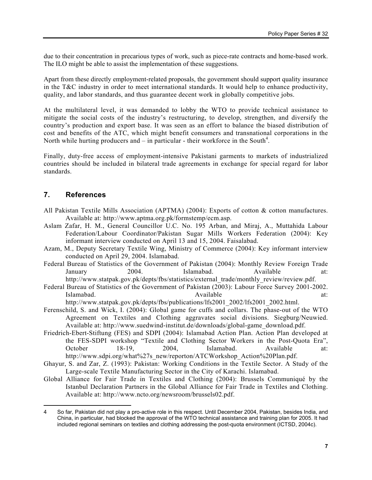due to their concentration in precarious types of work, such as piece-rate contracts and home-based work. The ILO might be able to assist the implementation of these suggestions.

Apart from these directly employment-related proposals, the government should support quality insurance in the T&C industry in order to meet international standards. It would help to enhance productivity, quality, and labor standards, and thus guarantee decent work in globally competitive jobs.

At the multilateral level, it was demanded to lobby the WTO to provide technical assistance to mitigate the social costs of the industry's restructuring, to develop, strengthen, and diversify the country's production and export base. It was seen as an effort to balance the biased distribution of cost and benefits of the ATC, which might benefit consumers and transnational corporations in the North while hurting producers and  $-$  in particular - their workforce in the South<sup>4</sup>.

Finally, duty-free access of employment-intensive Pakistani garments to markets of industrialized countries should be included in bilateral trade agreements in exchange for special regard for labor standards.

#### **7. References**

 $\overline{a}$ 

- All Pakistan Textile Mills Association (APTMA) (2004): Exports of cotton & cotton manufactures. Available at: http://www.aptma.org.pk/formstemp/ecm.asp.
- Aslam Zafar, H. M., General Councillor U.C. No. 195 Arban, and Miraj, A., Muttahida Labour Federation/Labour Coordinator/Pakistan Sugar Mills Workers Federation (2004): Key informant interview conducted on April 13 and 15, 2004. Faisalabad.
- Azam, M., Deputy Secretary Textile Wing, Ministry of Commerce (2004): Key informant interview conducted on April 29, 2004. Islamabad.
- Federal Bureau of Statistics of the Government of Pakistan (2004): Monthly Review Foreign Trade January 2004. Islamabad. Available at: http://www.statpak.gov.pk/depts/fbs/statistics/external\_trade/monthly\_review/review.pdf.
- Federal Bureau of Statistics of the Government of Pakistan (2003): Labour Force Survey 2001-2002. Islamabad.  $\Delta$  at:  $\Delta$  at:  $\Delta$  at:  $\Delta$  at:

http://www.statpak.gov.pk/depts/fbs/publications/lfs2001\_2002/lfs2001\_2002.html.

- Ferenschild, S. and Wick, I. (2004): Global game for cuffs and collars. The phase-out of the WTO Agreement on Textiles and Clothing aggravates social divisions. Siegburg/Neuwied. Available at: http://www.suedwind-institut.de/downloads/global-game\_download.pdf.
- Friedrich-Ebert-Stiftung (FES) and SDPI (2004): Islamabad Action Plan. Action Plan developed at the FES-SDPI workshop "Textile and Clothing Sector Workers in the Post-Quota Era", October 18-19, 2004, Islamabad. Available at: http://www.sdpi.org/what%27s\_new/reporton/ATCWorkshop\_Action%20Plan.pdf.
- Ghayur, S. and Zar, Z. (1993): Pakistan: Working Conditions in the Textile Sector. A Study of the Large-scale Textile Manufacturing Sector in the City of Karachi. Islamabad.
- Global Alliance for Fair Trade in Textiles and Clothing (2004): Brussels Communiqué by the Istanbul Declaration Partners in the Global Alliance for Fair Trade in Textiles and Clothing. Available at: http://www.ncto.org/newsroom/brussels02.pdf.

<sup>4</sup> So far, Pakistan did not play a pro-active role in this respect. Until December 2004, Pakistan, besides India, and China, in particular, had blocked the approval of the WTO technical assistance and training plan for 2005. It had included regional seminars on textiles and clothing addressing the post-quota environment (ICTSD, 2004c).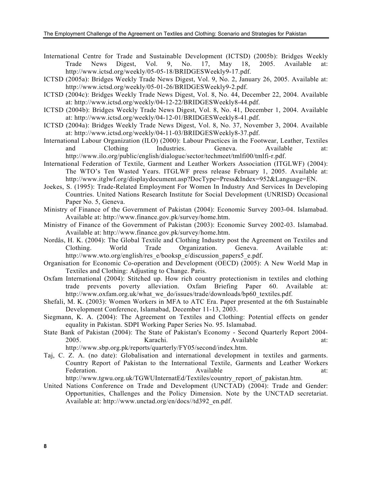- International Centre for Trade and Sustainable Development (ICTSD) (2005b): Bridges Weekly Trade News Digest, Vol. 9, No. 17, May 18, 2005. Available at: http://www.ictsd.org/weekly/05-05-18/BRIDGESWeekly9-17.pdf.
- ICTSD (2005a): Bridges Weekly Trade News Digest, Vol. 9, No. 2, January 26, 2005. Available at: http://www.ictsd.org/weekly/05-01-26/BRIDGESWeekly9-2.pdf.
- ICTSD (2004c): Bridges Weekly Trade News Digest, Vol. 8, No. 44, December 22, 2004. Available at: http://www.ictsd.org/weekly/04-12-22/BRIDGESWeekly8-44.pdf.
- ICTSD (2004b): Bridges Weekly Trade News Digest, Vol. 8, No. 41, December 1, 2004. Available at: http://www.ictsd.org/weekly/04-12-01/BRIDGESWeekly8-41.pdf.
- ICTSD (2004a): Bridges Weekly Trade News Digest, Vol. 8, No. 37, November 3, 2004. Available at: http://www.ictsd.org/weekly/04-11-03/BRIDGESWeekly8-37.pdf.
- International Labour Organization (ILO) (2000): Labour Practices in the Footwear, Leather, Textiles and Clothing Industries. Geneva. Available at: http://www.ilo.org/public/english/dialogue/sector/techmeet/tmlfi00/tmlfi-r.pdf.
- International Federation of Textile, Garment and Leather Workers Association (ITGLWF) (2004): The WTO's Ten Wasted Years. ITGLWF press release February 1, 2005. Available at: http://www.itglwf.org/displaydocument.asp?DocType=Press&Index=952&Language=EN.
- Joekes, S. (1995): Trade-Related Employment For Women In Industry And Services In Developing Countries. United Nations Research Institute for Social Development (UNRISD) Occasional Paper No. 5, Geneva.
- Ministry of Finance of the Government of Pakistan (2004): Economic Survey 2003-04. Islamabad. Available at: http://www.finance.gov.pk/survey/home.htm.
- Ministry of Finance of the Government of Pakistan (2003): Economic Survey 2002-03. Islamabad. Available at: http://www.finance.gov.pk/survey/home.htm.
- Nordås, H. K. (2004): The Global Textile and Clothing Industry post the Agreement on Textiles and Clothing. World Trade Organization. Geneva. Available at: http://www.wto.org/english/res\_e/booksp\_e/discussion\_papers5\_e.pdf.
- Organisation for Economic Co-operation and Development (OECD) (2005): A New World Map in Textiles and Clothing: Adjusting to Change. Paris.
- Oxfam International (2004): Stitched up. How rich country protectionism in textiles and clothing trade prevents poverty alleviation. Oxfam Briefing Paper 60. Available at: http://www.oxfam.org.uk/what\_we\_do/issues/trade/downloads/bp60\_textiles.pdf.
- Shefali, M. K. (2003): Women Workers in MFA to ATC Era. Paper presented at the 6th Sustainable Development Conference, Islamabad, December 11-13, 2003.
- Siegmann, K. A. (2004): The Agreement on Textiles and Clothing: Potential effects on gender equality in Pakistan. SDPI Working Paper Series No. 95. Islamabad.
- State Bank of Pakistan (2004): The State of Pakistan's Economy Second Quarterly Report 2004- 2005. Karachi. Karachi. Available at: http://www.sbp.org.pk/reports/quarterly/FY05/second/index.htm.
- Taj, C. Z. A. (no date): Globalisation and international development in textiles and garments. Country Report of Pakistan to the International Textile, Garments and Leather Workers Federation. Available at: Available at:

http://www.tgwu.org.uk/TGWUInternatEd/Textiles/country\_report\_of\_pakistan.htm.

United Nations Conference on Trade and Development (UNCTAD) (2004): Trade and Gender: Opportunities, Challenges and the Policy Dimension. Note by the UNCTAD secretariat. Available at: http://www.unctad.org/en/docs//td392\_en.pdf.